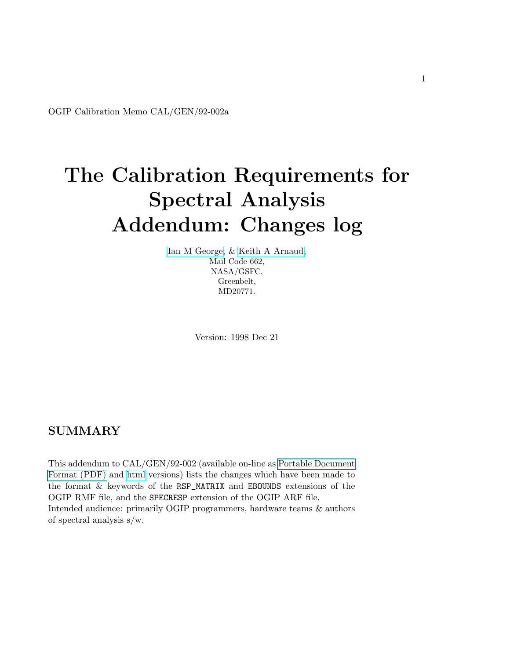<span id="page-0-0"></span>OGIP Calibration Memo CAL/GEN/92-002a

# The Calibration Requirements for Spectral Analysis Addendum: Changes log

[Ian M George,](file:/docs/bios/imgeorge.html) & [Keith A Arnaud,](file:/docs/bios/arnaud.html) Mail Code 662, NASA/GSFC, Greenbelt, MD20771.

Version: 1998 Dec 21

## SUMMARY

This addendum to CAL/GEN/92-002 (available on-line as Portable Document Format (PDF) and [html](file:/docs/heasarc/caldb/docs/memos/cal_gen_92_002/cal_gen_92_002.html) versions) lists the changes which have been made to the format & keywords of the RSP\_MATRIX and EBOUNDS extensions of the OGIP RMF file, and the SPECRESP extension of the OGIP ARF file. Intended audience: primarily OGIP programmers, hardware teams & authors of spectral analysis s/w.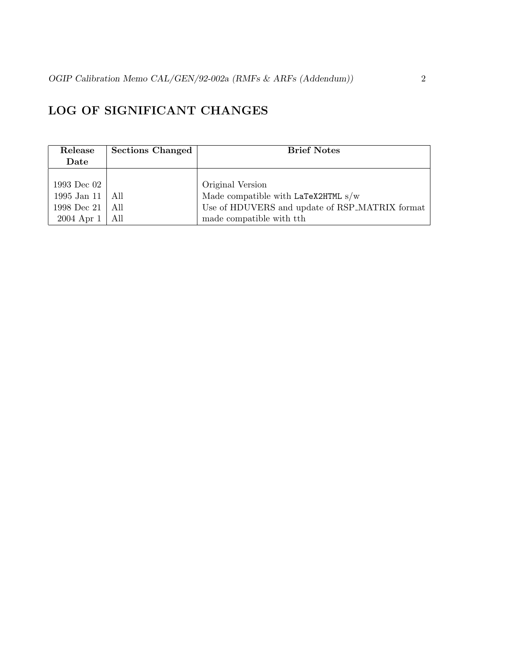# LOG OF SIGNIFICANT CHANGES

| Release           | <b>Sections Changed</b> | <b>Brief Notes</b>                             |
|-------------------|-------------------------|------------------------------------------------|
| Date              |                         |                                                |
|                   |                         |                                                |
| 1993 Dec 02       |                         | Original Version                               |
| 1995 Jan 11   All |                         | Made compatible with LaTeX2HTML $s/w$          |
| 1998 Dec 21   All |                         | Use of HDUVERS and update of RSP_MATRIX format |
| $2004$ Apr $1$    | All                     | made compatible with tth                       |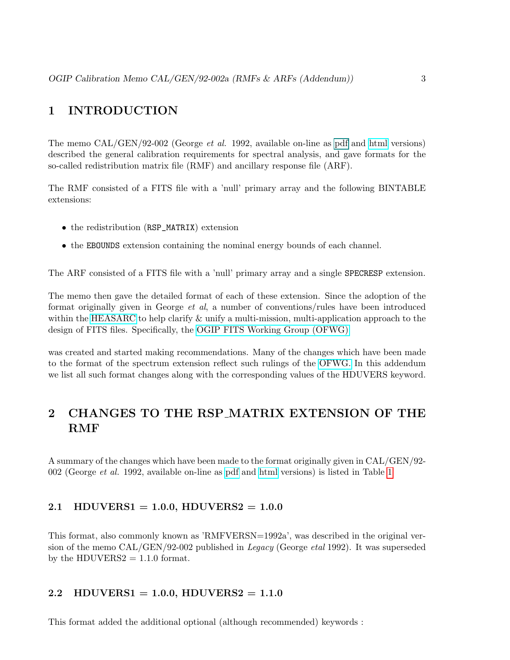## 1 INTRODUCTION

The memo CAL/GEN/92-002 (George et al. 1992, available on-line as [pdf](#page-0-0) and [html](file:/docs/heasarc/caldb/docs/memos/cal_gen_92_002/cal_gen_92_002.html) versions) described the general calibration requirements for spectral analysis, and gave formats for the so-called redistribution matrix file (RMF) and ancillary response file (ARF).

The RMF consisted of a FITS file with a 'null' primary array and the following BINTABLE extensions:

- the redistribution (RSP\_MATRIX) extension
- the EBOUNDS extension containing the nominal energy bounds of each channel.

The ARF consisted of a FITS file with a 'null' primary array and a single SPECRESP extension.

The memo then gave the detailed format of each of these extension. Since the adoption of the format originally given in George et al, a number of conventions/rules have been introduced within the [HEASARC](http://heasarc.gsfc.nasa.gov) to help clarify & unify a multi-mission, multi-application approach to the design of FITS files. Specifically, the [OGIP FITS Working Group \(OFWG\)](file:/docs/heasarc/ofwg/ofwg_intro.html)

was created and started making recommendations. Many of the changes which have been made to the format of the spectrum extension reflect such rulings of the [OFWG.](file:/docs/heasarc/ofwg/ofwg_intro.html) In this addendum we list all such format changes along with the corresponding values of the HDUVERS keyword.

# 2 CHANGES TO THE RSP MATRIX EXTENSION OF THE RMF

A summary of the changes which have been made to the format originally given in CAL/GEN/92- 002 (George et al. 1992, available on-line as [pdf](ftp://legacy.gsfc.nasa.gov/caldb/docs/memos/cal_gen_92_002/cal_gen_92_002.pdf) and [html](file:/docs/heasarc/caldb/docs/memos/cal_gen_92_002/cal_gen_92_002.html) versions) is listed in Table [1](#page-3-0)

## 2.1 HDUVERS1 = 1.0.0, HDUVERS2 =  $1.0.0$

This format, also commonly known as 'RMFVERSN=1992a', was described in the original version of the memo CAL/GEN/92-002 published in Legacy (George etal 1992). It was superseded by the HDUVERS $2 = 1.1.0$  format.

## 2.2 HDUVERS1 = 1.0.0, HDUVERS2 =  $1.1.0$

This format added the additional optional (although recommended) keywords :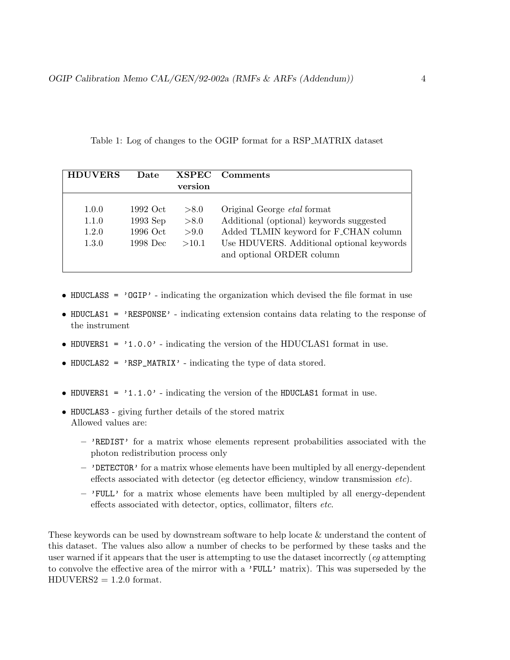<span id="page-3-0"></span>Table 1: Log of changes to the OGIP format for a RSP MATRIX dataset

| <b>HDUVERS</b> | Date       | <b>XSPEC</b> | <b>Comments</b>                           |
|----------------|------------|--------------|-------------------------------------------|
|                |            | version      |                                           |
|                |            |              |                                           |
| 1.0.0          | 1992 Oct   | > 8.0        | Original George <i>etal</i> format        |
| 1.1.0          | $1993$ Sep | > 8.0        | Additional (optional) keywords suggested  |
| 1.2.0          | 1996 Oct   | > 9.0        | Added TLMIN keyword for F_CHAN column     |
| 1.3.0          | 1998 Dec   | >10.1        | Use HDUVERS. Additional optional keywords |
|                |            |              | and optional ORDER column                 |
|                |            |              |                                           |

- HDUCLASS = 'OGIP' indicating the organization which devised the file format in use
- HDUCLAS1 = 'RESPONSE' indicating extension contains data relating to the response of the instrument
- HDUVERS1 =  $'1.0.0'$  indicating the version of the HDUCLAS1 format in use.
- HDUCLAS2 = 'RSP\_MATRIX' indicating the type of data stored.
- HDUVERS1 =  $'1.1.0'$  indicating the version of the HDUCLAS1 format in use.
- HDUCLAS3 giving further details of the stored matrix Allowed values are:
	- $-$  'REDIST' for a matrix whose elements represent probabilities associated with the photon redistribution process only
	- 'DETECTOR' for a matrix whose elements have been multipled by all energy-dependent effects associated with detector (eg detector efficiency, window transmission etc).
	- $-$  'FULL' for a matrix whose elements have been multipled by all energy-dependent effects associated with detector, optics, collimator, filters etc.

These keywords can be used by downstream software to help locate & understand the content of this dataset. The values also allow a number of checks to be performed by these tasks and the user warned if it appears that the user is attempting to use the dataset incorrectly (eg attempting to convolve the effective area of the mirror with a 'FULL' matrix). This was superseded by the  $HDUVERS2 = 1.2.0$  format.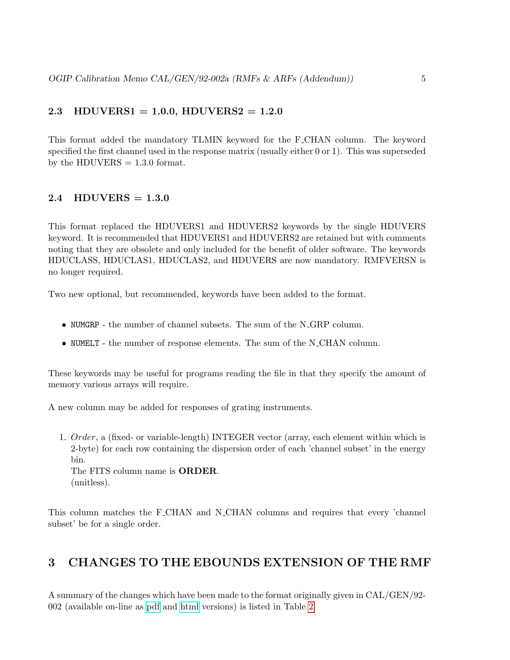## 2.3 HDUVERS1 = 1.0.0, HDUVERS2 =  $1.2.0$

This format added the mandatory TLMIN keyword for the F CHAN column. The keyword specified the first channel used in the response matrix (usually either 0 or 1). This was superseded by the HDUVERS  $= 1.3.0$  format.

## 2.4 HDUVERS  $= 1.3.0$

This format replaced the HDUVERS1 and HDUVERS2 keywords by the single HDUVERS keyword. It is recommended that HDUVERS1 and HDUVERS2 are retained but with comments noting that they are obsolete and only included for the benefit of older software. The keywords HDUCLASS, HDUCLAS1, HDUCLAS2, and HDUVERS are now mandatory. RMFVERSN is no longer required.

Two new optional, but recommended, keywords have been added to the format.

- NUMGRP the number of channel subsets. The sum of the N GRP column.
- NUMELT the number of response elements. The sum of the N\_CHAN column.

These keywords may be useful for programs reading the file in that they specify the amount of memory various arrays will require.

A new column may be added for responses of grating instruments.

1. Order, a (fixed- or variable-length) INTEGER vector (array, each element within which is 2-byte) for each row containing the dispersion order of each 'channel subset' in the energy bin.

The FITS column name is ORDER. (unitless).

This column matches the F\_CHAN and N\_CHAN columns and requires that every 'channel subset' be for a single order.

## 3 CHANGES TO THE EBOUNDS EXTENSION OF THE RMF

A summary of the changes which have been made to the format originally given in CAL/GEN/92- 002 (available on-line as [pdf](ftp://legacy.gsfc.nasa.gov/caldb/docs/memos/cal_gen_92_002/cal_gen_92_002.pdf) and [html](file:/docs/heasarc/caldb/docs/memos/cal_gen_92_002/cal_gen_92_002.html) versions) is listed in Table [2.](#page-5-0)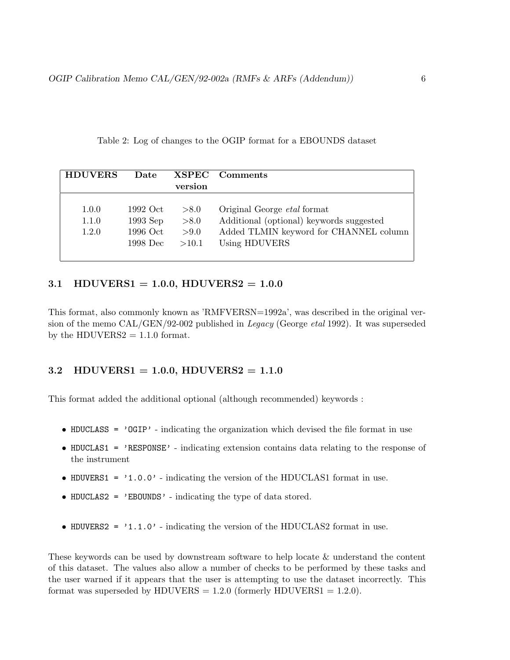<span id="page-5-0"></span>Table 2: Log of changes to the OGIP format for a EBOUNDS dataset

| <b>HDUVERS</b> | Date       |         | XSPEC Comments                           |
|----------------|------------|---------|------------------------------------------|
|                |            | version |                                          |
|                |            |         |                                          |
| 1.0.0          | 1992 Oct   | > 8.0   | Original George <i>etal</i> format       |
| 1.1.0          | $1993$ Sep | > 8.0   | Additional (optional) keywords suggested |
| 1.2.0          | 1996 Oct   | >9.0    | Added TLMIN keyword for CHANNEL column   |
|                | 1998 Dec   | >10.1   | Using HDUVERS                            |
|                |            |         |                                          |

#### 3.1 HDUVERS1 = 1.0.0, HDUVERS2 =  $1.0.0$

This format, also commonly known as 'RMFVERSN=1992a', was described in the original version of the memo CAL/GEN/92-002 published in Legacy (George etal 1992). It was superseded by the HDUVERS2  $= 1.1.0$  format.

## 3.2 HDUVERS1 = 1.0.0, HDUVERS2 =  $1.1.0$

This format added the additional optional (although recommended) keywords :

- HDUCLASS =  $'QGP'$  indicating the organization which devised the file format in use
- HDUCLAS1 = 'RESPONSE' indicating extension contains data relating to the response of the instrument
- HDUVERS1 =  $'1.0.0'$  indicating the version of the HDUCLAS1 format in use.
- HDUCLAS2 = 'EBOUNDS' indicating the type of data stored.
- HDUVERS2 =  $'1.1.0'$  indicating the version of the HDUCLAS2 format in use.

These keywords can be used by downstream software to help locate & understand the content of this dataset. The values also allow a number of checks to be performed by these tasks and the user warned if it appears that the user is attempting to use the dataset incorrectly. This format was superseded by HDUVERS  $= 1.2.0$  (formerly HDUVERS1  $= 1.2.0$ ).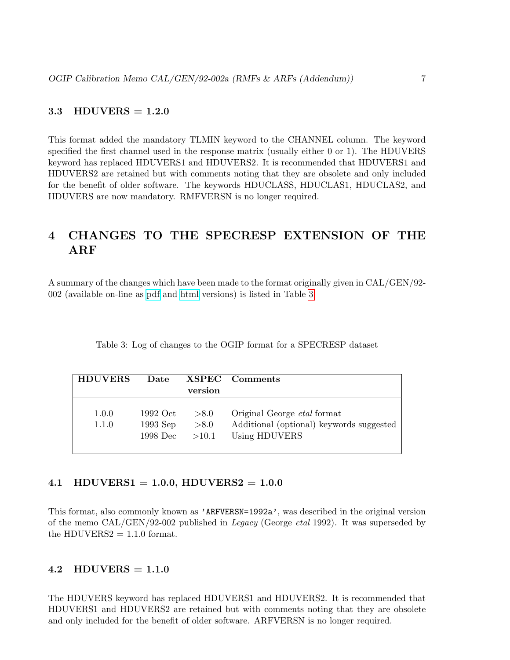## 3.3 HDUVERS  $= 1.2.0$

This format added the mandatory TLMIN keyword to the CHANNEL column. The keyword specified the first channel used in the response matrix (usually either 0 or 1). The HDUVERS keyword has replaced HDUVERS1 and HDUVERS2. It is recommended that HDUVERS1 and HDUVERS2 are retained but with comments noting that they are obsolete and only included for the benefit of older software. The keywords HDUCLASS, HDUCLAS1, HDUCLAS2, and HDUVERS are now mandatory. RMFVERSN is no longer required.

# 4 CHANGES TO THE SPECRESP EXTENSION OF THE ARF

A summary of the changes which have been made to the format originally given in CAL/GEN/92- 002 (available on-line as [pdf](ftp://legacy.gsfc.nasa.gov/caldb/docs/memos/cal_gen_92_002/cal_gen_92_002.pdf) and [html](file:/docs/heasarc/caldb/docs/memos/cal_gen_92_002/cal_gen_92_002.html) versions) is listed in Table [3.](#page-6-0)

<span id="page-6-0"></span>

|  |  |  |  |  |  |  | Table 3: Log of changes to the OGIP format for a SPECRESP dataset |  |
|--|--|--|--|--|--|--|-------------------------------------------------------------------|--|
|--|--|--|--|--|--|--|-------------------------------------------------------------------|--|

| <b>HDUVERS</b> | Date       |         | XSPEC Comments                           |
|----------------|------------|---------|------------------------------------------|
|                |            | version |                                          |
|                |            |         |                                          |
| 1.0.0          | 1992 Oct   | > 8.0   | Original George <i>etal</i> format       |
| 1.1.0          | $1993$ Sep | > 8.0   | Additional (optional) keywords suggested |
|                | $1998$ Dec | >10.1   | Using HDUVERS                            |
|                |            |         |                                          |

#### 4.1 HDUVERS1 = 1.0.0, HDUVERS2 =  $1.0.0$

This format, also commonly known as 'ARFVERSN=1992a', was described in the original version of the memo CAL/GEN/92-002 published in Legacy (George etal 1992). It was superseded by the HDUVERS $2 = 1.1.0$  format.

## $4.2$  HDUVERS = 1.1.0

The HDUVERS keyword has replaced HDUVERS1 and HDUVERS2. It is recommended that HDUVERS1 and HDUVERS2 are retained but with comments noting that they are obsolete and only included for the benefit of older software. ARFVERSN is no longer required.